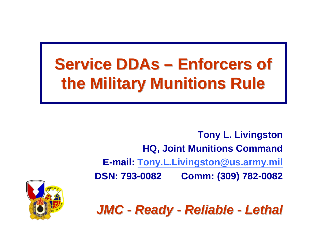## **Service DDAs – Enforcers of the Military Munitions Rule the Military Munitions Rule**

**Tony L. Livingston HQ, Joint Munitions Command E-mail: [Tony.L.Livingston@us.army.mil](mailto:Tony.L.Livingston@us.army.mil) DSN: 793-0082 Comm: (309) 782-0082**

*JMC - Ready - Reliable - Lethal* 

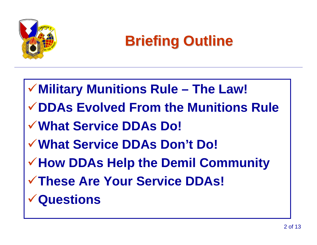

## **Briefing Outline Briefing Outline**

**Military Munitions Rule – The Law! DDAs Evolved From the Munitions RuleWhat Service DDAs Do! What Service DDAs Don't Do! How DDAs Help the Demil Community These Are Your Service DDAs! Questions**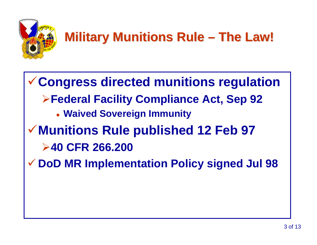

### **Military Munitions Rule M The Law! The Law!**

<sup>9</sup>**Congress directed munitions regulation** ¾**Federal Facility Compliance Act, Sep 92** z **Waived Sovereign Immunity** <sup>9</sup>**Munitions Rule published 12 Feb 97** ¾**40 CFR 266.200**9 **DoD MR Implementation Policy signed Jul 98**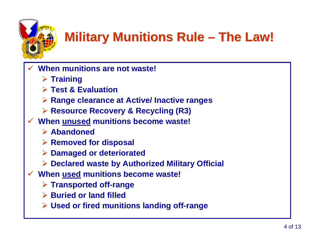#### **Military Munitions Rule M The Law! The Law!**

- $\checkmark$  **When munitions are not waste!**
	- ¾ **Training**
	- ¾ **Test & Evaluation**
	- ¾ **Range clearance at Active/ Inactive ranges**
	- ¾ **Resource Recovery & Recycling (R3)**
- $\checkmark$  **When unused munitions become waste!**
	- ¾ **Abandoned**
	- ¾ **Removed for disposal**
	- ¾ **Damaged or deteriorated**
	- ¾ **Declared waste by Authorized Military Official**
- $\checkmark$  **When used munitions become waste!**
	- ¾ **Transported off-range**
	- ¾ **Buried or land filled**
	- ¾ **Used or fired munitions landing off-range**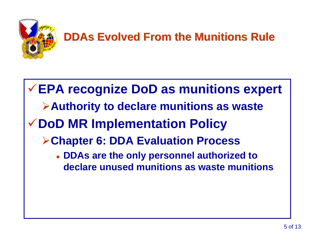

### **DDAs Evolved From the Munitions Rule DDAs Evolved From the Munitions Rule**

## **EPA recognize DoD as munitions expert Authority to declare munitions as waste DoD MR Implementation Policy Chapter 6: DDA Evaluation Process** z **DDAs are the only personnel authorized to declare unused munitions as waste munitions**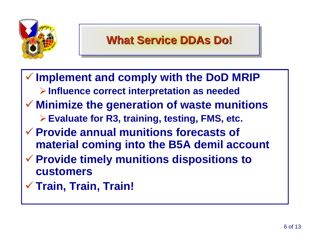

### **What Service DDAs Do! What Service DDAs Do! What Service DDAs Do!**

 $\checkmark$  **Implement and comply with the DoD MRIP**  ¾**Influence correct interpretation as needed** 9 **Minimize the generation of waste munitions** ¾**Evaluate for R3, training, testing, FMS, etc.** 9 **Provide annual munitions forecasts of material coming into the B5A demil account** 9 **Provide timely munitions dispositions to customers** $\checkmark$ **Train, Train, Train!**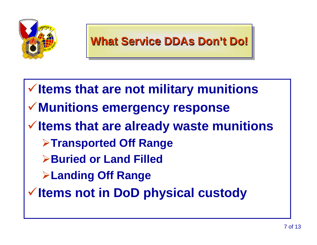

**Items that are not military munitions Munitions emergency response Items that are already waste munitions Transported Off Range Buried or Land FilledLanding Off Range Items not in DoD physical custody**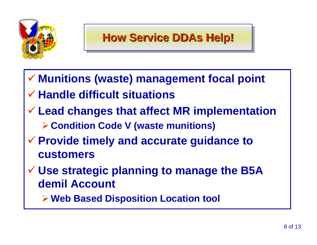![](_page_7_Picture_0.jpeg)

- 9 **Munitions (waste) management focal point**
- 9 **Handle difficult situations**
- 9 **Lead changes that affect MR implementation** ¾**Condition Code V (waste munitions)**
- 9 **Provide timely and accurate guidance to customers**
- 9 **Use strategic planning to manage the B5A demil Account**
	- ¾**Web Based Disposition Location tool**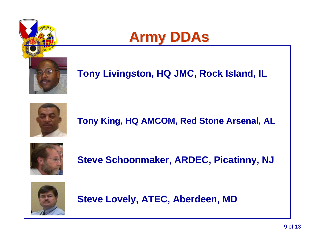![](_page_8_Picture_0.jpeg)

![](_page_8_Picture_1.jpeg)

### **Tony Livingston, HQ JMC, Rock Island, IL**

![](_page_8_Picture_3.jpeg)

**Tony King, HQ AMCOM, Red Stone Arsenal, AL**

![](_page_8_Picture_5.jpeg)

**Steve Schoonmaker, ARDEC, Picatinny, NJ**

![](_page_8_Picture_7.jpeg)

**Steve Lovely, ATEC, Aberdeen, MD**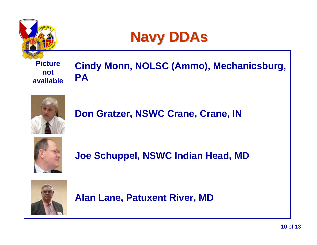![](_page_9_Picture_0.jpeg)

![](_page_9_Picture_1.jpeg)

#### **Picture not available**

### **Cindy Monn, NOLSC (Ammo), Mechanicsburg, PA**

![](_page_9_Picture_4.jpeg)

### **Don Gratzer, NSWC Crane, Crane, IN**

![](_page_9_Picture_6.jpeg)

**Joe Schuppel, NSWC Indian Head, MD**

![](_page_9_Picture_8.jpeg)

**Alan Lane, Patuxent River, MD**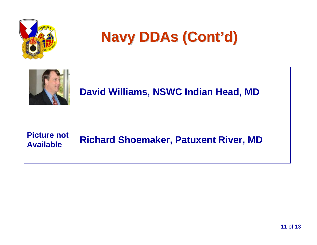![](_page_10_Picture_0.jpeg)

## **Navy DDAs (Cont'd) Navy DDAs (Cont'd)**

![](_page_10_Figure_2.jpeg)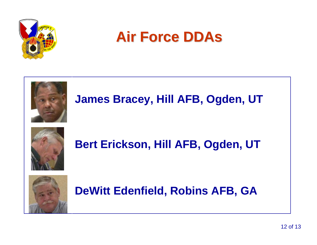![](_page_11_Picture_0.jpeg)

### **Air Force DDAs Air Force DDAs**

![](_page_11_Picture_2.jpeg)

### **James Bracey, Hill AFB, Ogden, UT**

![](_page_11_Picture_4.jpeg)

**Bert Erickson, Hill AFB, Ogden, UT**

![](_page_11_Picture_6.jpeg)

**DeWitt Edenfield, Robins AFB, GA**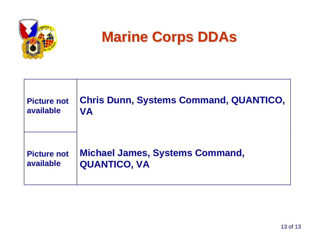![](_page_12_Picture_0.jpeg)

## **Marine Corps DDAs Marine Corps DDAs**

| <b>Picture not</b> | <b>Chris Dunn, Systems Command, QUANTICO,</b> |
|--------------------|-----------------------------------------------|
| available          | <b>VA</b>                                     |
| <b>Picture not</b> | <b>Michael James, Systems Command,</b>        |
| available          | <b>QUANTICO, VA</b>                           |